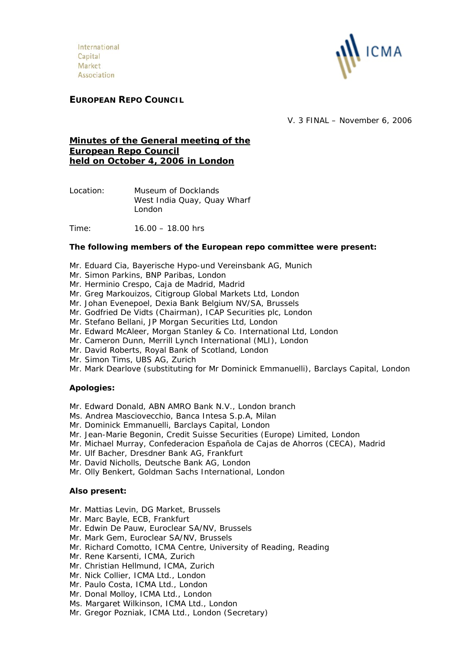International Capital Market Association



# **EUROPEAN REPO COUNCIL**

V. 3 FINAL – November 6, 2006

# **Minutes of the General meeting of the European Repo Council held on October 4, 2006 in London**

- Location: Museum of Docklands West India Quay, Quay Wharf London
- Time: 16.00 18.00 hrs

### **The following members of the European repo committee were present:**

- Mr. Eduard Cia, Bayerische Hypo-und Vereinsbank AG, Munich
- Mr. Simon Parkins, BNP Paribas, London
- Mr. Herminio Crespo, Caja de Madrid, Madrid
- Mr. Greg Markouizos, Citigroup Global Markets Ltd, London
- Mr. Johan Evenepoel, Dexia Bank Belgium NV/SA, Brussels
- Mr. Godfried De Vidts (Chairman), ICAP Securities plc, London
- Mr. Stefano Bellani, JP Morgan Securities Ltd, London
- Mr. Edward McAleer, Morgan Stanley & Co. International Ltd, London
- Mr. Cameron Dunn, Merrill Lynch International (MLI), London
- Mr. David Roberts, Royal Bank of Scotland, London
- Mr. Simon Tims, UBS AG, Zurich
- Mr. Mark Dearlove (substituting for Mr Dominick Emmanuelli), Barclays Capital, London

# **Apologies:**

- Mr. Edward Donald, ABN AMRO Bank N.V., London branch
- Ms. Andrea Masciovecchio, Banca Intesa S.p.A, Milan
- Mr. Dominick Emmanuelli, Barclays Capital, London
- Mr. Jean-Marie Begonin, Credit Suisse Securities (Europe) Limited, London
- Mr. Michael Murray, Confederacion Española de Cajas de Ahorros (CECA), Madrid
- Mr. Ulf Bacher, Dresdner Bank AG, Frankfurt
- Mr. David Nicholls, Deutsche Bank AG, London
- Mr. Olly Benkert, Goldman Sachs International, London

#### **Also present:**

- Mr. Mattias Levin, DG Market, Brussels
- Mr. Marc Bayle, ECB, Frankfurt
- Mr. Edwin De Pauw, Euroclear SA/NV, Brussels
- Mr. Mark Gem, Euroclear SA/NV, Brussels
- Mr. Richard Comotto, ICMA Centre, University of Reading, Reading
- Mr. Rene Karsenti, ICMA, Zurich
- Mr. Christian Hellmund, ICMA, Zurich
- Mr. Nick Collier, ICMA Ltd., London
- Mr. Paulo Costa, ICMA Ltd., London
- Mr. Donal Molloy, ICMA Ltd., London
- Ms. Margaret Wilkinson, ICMA Ltd., London
- Mr. Gregor Pozniak, ICMA Ltd., London (Secretary)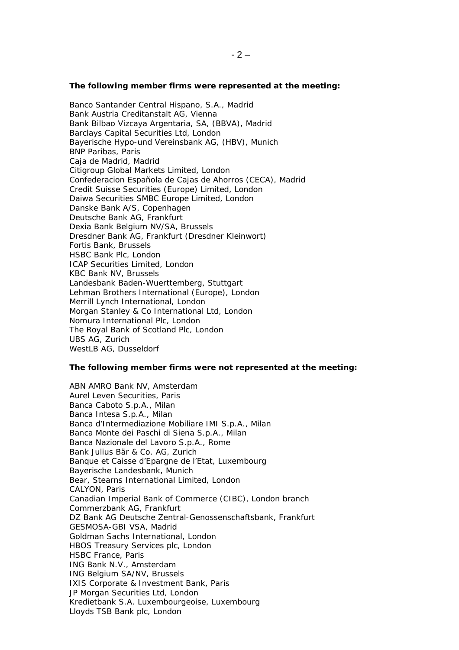#### **The following member firms were represented at the meeting:**

Banco Santander Central Hispano, S.A., Madrid Bank Austria Creditanstalt AG, Vienna Bank Bilbao Vizcaya Argentaria, SA, (BBVA), Madrid Barclays Capital Securities Ltd, London Bayerische Hypo-und Vereinsbank AG, (HBV), Munich BNP Paribas, Paris Caja de Madrid, Madrid Citigroup Global Markets Limited, London Confederacion Española de Cajas de Ahorros (CECA), Madrid Credit Suisse Securities (Europe) Limited, London Daiwa Securities SMBC Europe Limited, London Danske Bank A/S, Copenhagen Deutsche Bank AG, Frankfurt Dexia Bank Belgium NV/SA, Brussels Dresdner Bank AG, Frankfurt (Dresdner Kleinwort) Fortis Bank, Brussels HSBC Bank Plc, London ICAP Securities Limited, London KBC Bank NV, Brussels Landesbank Baden-Wuerttemberg, Stuttgart Lehman Brothers International (Europe), London Merrill Lynch International, London Morgan Stanley & Co International Ltd, London Nomura International Plc, London The Royal Bank of Scotland Plc, London UBS AG, Zurich WestLB AG, Dusseldorf

#### **The following member firms were not represented at the meeting:**

ABN AMRO Bank NV, Amsterdam Aurel Leven Securities, Paris Banca Caboto S.p.A., Milan Banca Intesa S.p.A., Milan Banca d'Intermediazione Mobiliare IMI S.p.A., Milan Banca Monte dei Paschi di Siena S.p.A., Milan Banca Nazionale del Lavoro S.p.A., Rome Bank Julius Bär & Co. AG, Zurich Banque et Caisse d'Epargne de l'Etat, Luxembourg Bayerische Landesbank, Munich Bear, Stearns International Limited, London CALYON, Paris Canadian Imperial Bank of Commerce (CIBC), London branch Commerzbank AG, Frankfurt DZ Bank AG Deutsche Zentral-Genossenschaftsbank, Frankfurt GESMOSA-GBI VSA, Madrid Goldman Sachs International, London HBOS Treasury Services plc, London HSBC France, Paris ING Bank N.V., Amsterdam ING Belgium SA/NV, Brussels IXIS Corporate & Investment Bank, Paris JP Morgan Securities Ltd, London Kredietbank S.A. Luxembourgeoise, Luxembourg Lloyds TSB Bank plc, London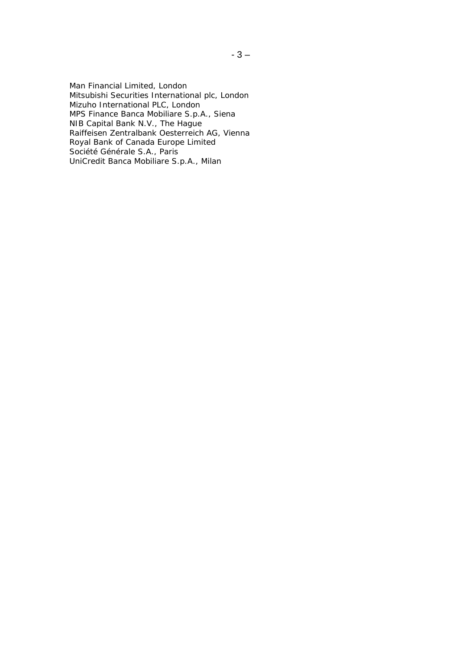Man Financial Limited, London Mitsubishi Securities International plc, London Mizuho International PLC, London MPS Finance Banca Mobiliare S.p.A., Siena NIB Capital Bank N.V., The Hague Raiffeisen Zentralbank Oesterreich AG, Vienna Royal Bank of Canada Europe Limited Société Générale S.A., Paris UniCredit Banca Mobiliare S.p.A., Milan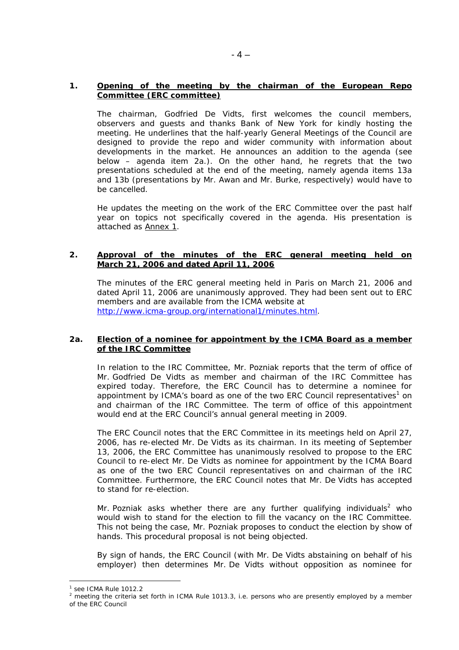# **1. Opening of the meeting by the chairman of the European Repo Committee (ERC committee)**

 The chairman, Godfried De Vidts, first welcomes the council members, observers and guests and thanks Bank of New York for kindly hosting the meeting. He underlines that the half-yearly General Meetings of the Council are designed to provide the repo and wider community with information about developments in the market. He announces an addition to the agenda (see below – agenda item 2a.). On the other hand, he regrets that the two presentations scheduled at the end of the meeting, namely agenda items 13a and 13b (presentations by Mr. Awan and Mr. Burke, respectively) would have to be cancelled.

He updates the meeting on the work of the ERC Committee over the past half year on topics not specifically covered in the agenda. His presentation is attached as Annex 1.

# **2. Approval of the minutes of the ERC general meeting held on March 21, 2006 and dated April 11, 2006**

 The minutes of the ERC general meeting held in Paris on March 21, 2006 and dated April 11, 2006 are unanimously approved. They had been sent out to ERC members and are available from the ICMA website at http://www.icma-group.org/international1/minutes.html.

### **2a. Election of a nominee for appointment by the ICMA Board as a member of the IRC Committee**

In relation to the IRC Committee, Mr. Pozniak reports that the term of office of Mr. Godfried De Vidts as member and chairman of the IRC Committee has expired today. Therefore, the ERC Council has to determine a nominee for appointment by ICMA's board as one of the two ERC Council representatives<sup>1</sup> on and chairman of the IRC Committee. The term of office of this appointment would end at the ERC Council's annual general meeting in 2009.

The ERC Council notes that the ERC Committee in its meetings held on April 27, 2006, has re-elected Mr. De Vidts as its chairman. In its meeting of September 13, 2006, the ERC Committee has unanimously resolved to propose to the ERC Council to re-elect Mr. De Vidts as nominee for appointment by the ICMA Board as one of the two ERC Council representatives on and chairman of the IRC Committee. Furthermore, the ERC Council notes that Mr. De Vidts has accepted to stand for re-election.

Mr. Pozniak asks whether there are any further qualifying individuals<sup>2</sup> who would wish to stand for the election to fill the vacancy on the IRC Committee. This not being the case, Mr. Pozniak proposes to conduct the election by show of hands. This procedural proposal is not being objected.

By sign of hands, the ERC Council (with Mr. De Vidts abstaining on behalf of his employer) then determines Mr. De Vidts without opposition as nominee for

 $\overline{a}$ 

<sup>1</sup> see ICMA Rule 1012.2

<sup>&</sup>lt;sup>2</sup> meeting the criteria set forth in ICMA Rule 1013.3, i.e. persons who are presently employed by a member of the ERC Council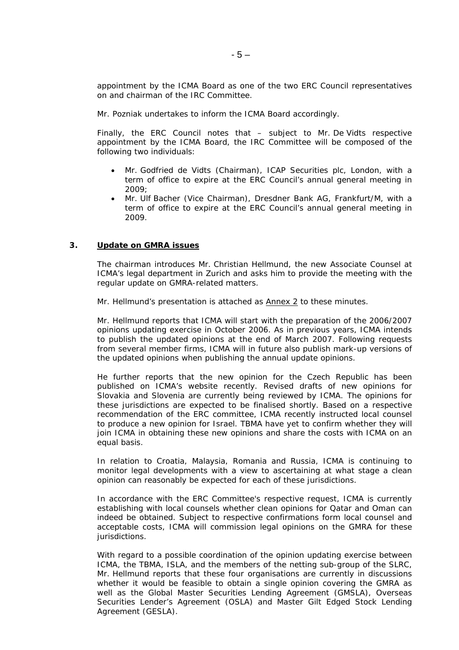appointment by the ICMA Board as one of the two ERC Council representatives on and chairman of the IRC Committee.

Mr. Pozniak undertakes to inform the ICMA Board accordingly.

Finally, the ERC Council notes that – subject to Mr. De Vidts respective appointment by the ICMA Board, the IRC Committee will be composed of the following two individuals:

- Mr. Godfried de Vidts (Chairman), ICAP Securities plc, London, with a term of office to expire at the ERC Council's annual general meeting in 2009;
- Mr. Ulf Bacher (Vice Chairman), Dresdner Bank AG, Frankfurt/M, with a term of office to expire at the ERC Council's annual general meeting in 2009.

#### **3. Update on GMRA issues**

The chairman introduces Mr. Christian Hellmund, the new Associate Counsel at ICMA's legal department in Zurich and asks him to provide the meeting with the regular update on GMRA-related matters.

Mr. Hellmund's presentation is attached as Annex 2 to these minutes.

Mr. Hellmund reports that ICMA will start with the preparation of the 2006/2007 opinions updating exercise in October 2006. As in previous years, ICMA intends to publish the updated opinions at the end of March 2007. Following requests from several member firms, ICMA will in future also publish mark-up versions of the updated opinions when publishing the annual update opinions.

He further reports that the new opinion for the Czech Republic has been published on ICMA's website recently. Revised drafts of new opinions for Slovakia and Slovenia are currently being reviewed by ICMA. The opinions for these jurisdictions are expected to be finalised shortly. Based on a respective recommendation of the ERC committee, ICMA recently instructed local counsel to produce a new opinion for Israel. TBMA have yet to confirm whether they will join ICMA in obtaining these new opinions and share the costs with ICMA on an equal basis.

In relation to Croatia, Malaysia, Romania and Russia, ICMA is continuing to monitor legal developments with a view to ascertaining at what stage a clean opinion can reasonably be expected for each of these jurisdictions.

In accordance with the ERC Committee's respective request, ICMA is currently establishing with local counsels whether clean opinions for Qatar and Oman can indeed be obtained. Subject to respective confirmations form local counsel and acceptable costs, ICMA will commission legal opinions on the GMRA for these jurisdictions.

With regard to a possible coordination of the opinion updating exercise between ICMA, the TBMA, ISLA, and the members of the netting sub-group of the SLRC, Mr. Hellmund reports that these four organisations are currently in discussions whether it would be feasible to obtain a single opinion covering the GMRA as well as the Global Master Securities Lending Agreement (GMSLA), Overseas Securities Lender's Agreement (OSLA) and Master Gilt Edged Stock Lending Agreement (GESLA).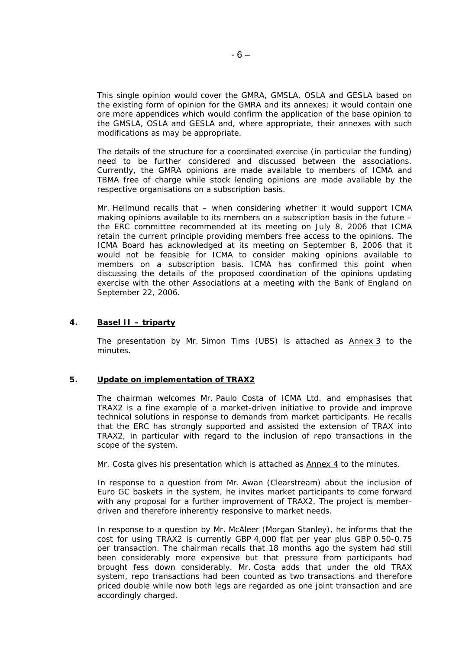This single opinion would cover the GMRA, GMSLA, OSLA and GESLA based on the existing form of opinion for the GMRA and its annexes; it would contain one ore more appendices which would confirm the application of the base opinion to the GMSLA, OSLA and GESLA and, where appropriate, their annexes with such modifications as may be appropriate.

The details of the structure for a coordinated exercise (in particular the funding) need to be further considered and discussed between the associations. Currently, the GMRA opinions are made available to members of ICMA and TBMA free of charge while stock lending opinions are made available by the respective organisations on a subscription basis.

Mr. Hellmund recalls that – when considering whether it would support ICMA making opinions available to its members on a subscription basis in the future – the ERC committee recommended at its meeting on July 8, 2006 that ICMA retain the current principle providing members free access to the opinions. The ICMA Board has acknowledged at its meeting on September 8, 2006 that it would not be feasible for ICMA to consider making opinions available to members on a subscription basis. ICMA has confirmed this point when discussing the details of the proposed coordination of the opinions updating exercise with the other Associations at a meeting with the Bank of England on September 22, 2006.

# **4. Basel II – triparty**

The presentation by Mr. Simon Tims (UBS) is attached as Annex 3 to the minutes.

# **5. Update on implementation of TRAX2**

The chairman welcomes Mr. Paulo Costa of ICMA Ltd. and emphasises that TRAX2 is a fine example of a market-driven initiative to provide and improve technical solutions in response to demands from market participants. He recalls that the ERC has strongly supported and assisted the extension of TRAX into TRAX2, in particular with regard to the inclusion of repo transactions in the scope of the system.

Mr. Costa gives his presentation which is attached as Annex 4 to the minutes.

In response to a question from Mr. Awan (Clearstream) about the inclusion of Euro GC baskets in the system, he invites market participants to come forward with any proposal for a further improvement of TRAX2. The project is memberdriven and therefore inherently responsive to market needs.

In response to a question by Mr. McAleer (Morgan Stanley), he informs that the cost for using TRAX2 is currently GBP 4,000 flat per year plus GBP 0.50-0.75 per transaction. The chairman recalls that 18 months ago the system had still been considerably more expensive but that pressure from participants had brought fess down considerably. Mr. Costa adds that under the old TRAX system, repo transactions had been counted as two transactions and therefore priced double while now both legs are regarded as one joint transaction and are accordingly charged.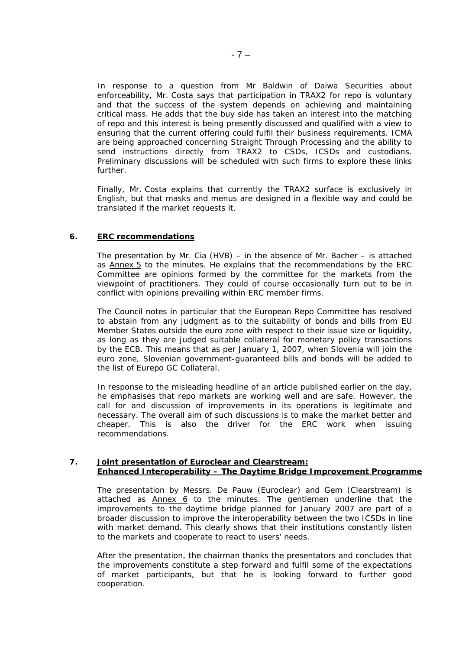In response to a question from Mr Baldwin of Daiwa Securities about enforceability, Mr. Costa says that participation in TRAX2 for repo is voluntary and that the success of the system depends on achieving and maintaining critical mass. He adds that the buy side has taken an interest into the matching of repo and this interest is being presently discussed and qualified with a view to ensuring that the current offering could fulfil their business requirements. ICMA are being approached concerning Straight Through Processing and the ability to send instructions directly from TRAX2 to CSDs, ICSDs and custodians. Preliminary discussions will be scheduled with such firms to explore these links further.

Finally, Mr. Costa explains that currently the TRAX2 surface is exclusively in English, but that masks and menus are designed in a flexible way and could be translated if the market requests it.

### **6. ERC recommendations**

The presentation by Mr. Cia (HVB) – in the absence of Mr. Bacher – is attached as Annex 5 to the minutes. He explains that the recommendations by the ERC Committee are opinions formed by the committee for the markets from the viewpoint of practitioners. They could of course occasionally turn out to be in conflict with opinions prevailing within ERC member firms.

The Council notes in particular that the European Repo Committee has resolved to abstain from any judgment as to the suitability of bonds and bills from EU Member States outside the euro zone with respect to their issue size or liquidity, as long as they are judged suitable collateral for monetary policy transactions by the ECB. This means that as per January 1, 2007, when Slovenia will join the euro zone, Slovenian government-guaranteed bills and bonds will be added to the list of Eurepo GC Collateral.

 In response to the misleading headline of an article published earlier on the day, he emphasises that repo markets are working well and are safe. However, the call for and discussion of improvements in its operations is legitimate and necessary. The overall aim of such discussions is to make the market better and cheaper. This is also the driver for the ERC work when issuing recommendations.

### **7. Joint presentation of Euroclear and Clearstream: Enhanced Interoperability – The Daytime Bridge Improvement Programme**

 The presentation by Messrs. De Pauw (Euroclear) and Gem (Clearstream) is attached as **Annex 6** to the minutes. The gentlemen underline that the improvements to the daytime bridge planned for January 2007 are part of a broader discussion to improve the interoperability between the two ICSDs in line with market demand. This clearly shows that their institutions constantly listen to the markets and cooperate to react to users' needs.

After the presentation, the chairman thanks the presentators and concludes that the improvements constitute a step forward and fulfil some of the expectations of market participants, but that he is looking forward to further good cooperation.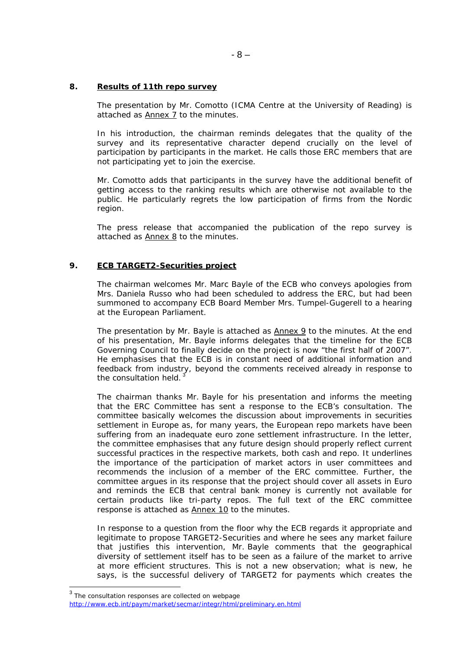### **8. Results of 11th repo survey**

The presentation by Mr. Comotto (ICMA Centre at the University of Reading) is attached as Annex 7 to the minutes.

In his introduction, the chairman reminds delegates that the quality of the survey and its representative character depend crucially on the level of participation by participants in the market. He calls those ERC members that are not participating yet to join the exercise.

Mr. Comotto adds that participants in the survey have the additional benefit of getting access to the ranking results which are otherwise not available to the public. He particularly regrets the low participation of firms from the Nordic region.

The press release that accompanied the publication of the repo survey is attached as  $Annex 8$  to the minutes.

# **9. ECB TARGET2-Securities project**

The chairman welcomes Mr. Marc Bayle of the ECB who conveys apologies from Mrs. Daniela Russo who had been scheduled to address the ERC, but had been summoned to accompany ECB Board Member Mrs. Tumpel-Gugerell to a hearing at the European Parliament.

The presentation by Mr. Bayle is attached as Annex 9 to the minutes. At the end of his presentation, Mr. Bayle informs delegates that the timeline for the ECB Governing Council to finally decide on the project is now "the first half of 2007". He emphasises that the ECB is in constant need of additional information and feedback from industry, beyond the comments received already in response to the consultation held.

The chairman thanks Mr. Bayle for his presentation and informs the meeting that the ERC Committee has sent a response to the ECB's consultation. The committee basically welcomes the discussion about improvements in securities settlement in Europe as, for many years, the European repo markets have been suffering from an inadequate euro zone settlement infrastructure. In the letter, the committee emphasises that any future design should properly reflect current successful practices in the respective markets, both cash and repo. It underlines the importance of the participation of market actors in user committees and recommends the inclusion of a member of the ERC committee. Further, the committee argues in its response that the project should cover all assets in Euro and reminds the ECB that central bank money is currently not available for certain products like tri-party repos. The full text of the ERC committee response is attached as **Annex 10** to the minutes.

In response to a question from the floor why the ECB regards it appropriate and legitimate to propose TARGET2-Securities and where he sees any market failure that justifies this intervention, Mr. Bayle comments that the geographical diversity of settlement itself has to be seen as a failure of the market to arrive at more efficient structures. This is not a new observation; what is new, he says, is the successful delivery of TARGET2 for payments which creates the

 $\overline{a}$ 

 $3$  The consultation responses are collected on webpage

http://www.ecb.int/paym/market/secmar/integr/html/preliminary.en.html